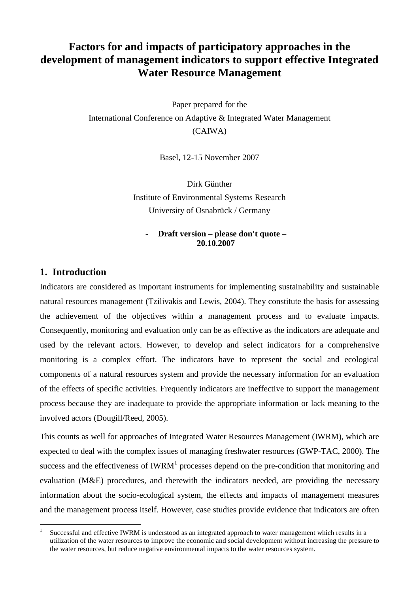# **Factors for and impacts of participatory approaches in the development of management indicators to support effective Integrated Water Resource Management**

Paper prepared for the International Conference on Adaptive & Integrated Water Management (CAIWA)

Basel, 12-15 November 2007

Dirk Günther Institute of Environmental Systems Research University of Osnabrück / Germany

#### - **Draft version – please don't quote – 20.10.2007**

### **1. Introduction**

 $\overline{a}$ 

Indicators are considered as important instruments for implementing sustainability and sustainable natural resources management (Tzilivakis and Lewis, 2004). They constitute the basis for assessing the achievement of the objectives within a management process and to evaluate impacts. Consequently, monitoring and evaluation only can be as effective as the indicators are adequate and used by the relevant actors. However, to develop and select indicators for a comprehensive monitoring is a complex effort. The indicators have to represent the social and ecological components of a natural resources system and provide the necessary information for an evaluation of the effects of specific activities. Frequently indicators are ineffective to support the management process because they are inadequate to provide the appropriate information or lack meaning to the involved actors (Dougill/Reed, 2005).

This counts as well for approaches of Integrated Water Resources Management (IWRM), which are expected to deal with the complex issues of managing freshwater resources (GWP-TAC, 2000). The success and the effectiveness of IWRM<sup>1</sup> processes depend on the pre-condition that monitoring and evaluation (M&E) procedures, and therewith the indicators needed, are providing the necessary information about the socio-ecological system, the effects and impacts of management measures and the management process itself. However, case studies provide evidence that indicators are often

<sup>1</sup> Successful and effective IWRM is understood as an integrated approach to water management which results in a utilization of the water resources to improve the economic and social development without increasing the pressure to the water resources, but reduce negative environmental impacts to the water resources system.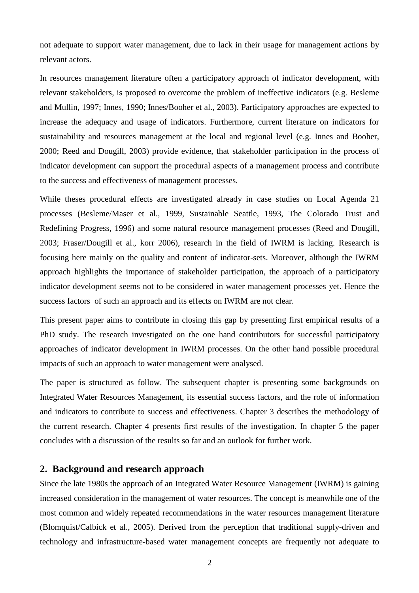not adequate to support water management, due to lack in their usage for management actions by relevant actors.

In resources management literature often a participatory approach of indicator development, with relevant stakeholders, is proposed to overcome the problem of ineffective indicators (e.g. Besleme and Mullin, 1997; Innes, 1990; Innes/Booher et al., 2003). Participatory approaches are expected to increase the adequacy and usage of indicators. Furthermore, current literature on indicators for sustainability and resources management at the local and regional level (e.g. Innes and Booher, 2000; Reed and Dougill, 2003) provide evidence, that stakeholder participation in the process of indicator development can support the procedural aspects of a management process and contribute to the success and effectiveness of management processes.

While theses procedural effects are investigated already in case studies on Local Agenda 21 processes (Besleme/Maser et al., 1999, Sustainable Seattle, 1993, The Colorado Trust and Redefining Progress, 1996) and some natural resource management processes (Reed and Dougill, 2003; Fraser/Dougill et al., korr 2006), research in the field of IWRM is lacking. Research is focusing here mainly on the quality and content of indicator-sets. Moreover, although the IWRM approach highlights the importance of stakeholder participation, the approach of a participatory indicator development seems not to be considered in water management processes yet. Hence the success factors of such an approach and its effects on IWRM are not clear.

This present paper aims to contribute in closing this gap by presenting first empirical results of a PhD study. The research investigated on the one hand contributors for successful participatory approaches of indicator development in IWRM processes. On the other hand possible procedural impacts of such an approach to water management were analysed.

The paper is structured as follow. The subsequent chapter is presenting some backgrounds on Integrated Water Resources Management, its essential success factors, and the role of information and indicators to contribute to success and effectiveness. Chapter 3 describes the methodology of the current research. Chapter 4 presents first results of the investigation. In chapter 5 the paper concludes with a discussion of the results so far and an outlook for further work.

#### **2. Background and research approach**

Since the late 1980s the approach of an Integrated Water Resource Management (IWRM) is gaining increased consideration in the management of water resources. The concept is meanwhile one of the most common and widely repeated recommendations in the water resources management literature (Blomquist/Calbick et al., 2005). Derived from the perception that traditional supply-driven and technology and infrastructure-based water management concepts are frequently not adequate to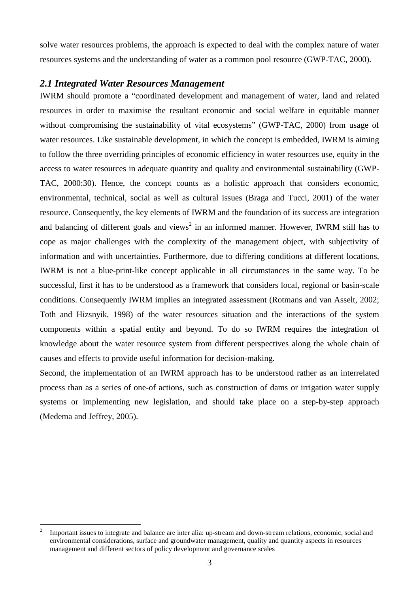solve water resources problems, the approach is expected to deal with the complex nature of water resources systems and the understanding of water as a common pool resource (GWP-TAC, 2000).

### *2.1 Integrated Water Resources Management*

IWRM should promote a "coordinated development and management of water, land and related resources in order to maximise the resultant economic and social welfare in equitable manner without compromising the sustainability of vital ecosystems" (GWP-TAC, 2000) from usage of water resources. Like sustainable development, in which the concept is embedded, IWRM is aiming to follow the three overriding principles of economic efficiency in water resources use, equity in the access to water resources in adequate quantity and quality and environmental sustainability (GWP-TAC, 2000:30). Hence, the concept counts as a holistic approach that considers economic, environmental, technical, social as well as cultural issues (Braga and Tucci, 2001) of the water resource. Consequently, the key elements of IWRM and the foundation of its success are integration and balancing of different goals and views<sup>2</sup> in an informed manner. However, IWRM still has to cope as major challenges with the complexity of the management object, with subjectivity of information and with uncertainties. Furthermore, due to differing conditions at different locations, IWRM is not a blue-print-like concept applicable in all circumstances in the same way. To be successful, first it has to be understood as a framework that considers local, regional or basin-scale conditions. Consequently IWRM implies an integrated assessment (Rotmans and van Asselt, 2002; Toth and Hizsnyik, 1998) of the water resources situation and the interactions of the system components within a spatial entity and beyond. To do so IWRM requires the integration of knowledge about the water resource system from different perspectives along the whole chain of causes and effects to provide useful information for decision-making.

Second, the implementation of an IWRM approach has to be understood rather as an interrelated process than as a series of one-of actions, such as construction of dams or irrigation water supply systems or implementing new legislation, and should take place on a step-by-step approach (Medema and Jeffrey, 2005).

 $\frac{1}{2}$  Important issues to integrate and balance are inter alia: up-stream and down-stream relations, economic, social and environmental considerations, surface and groundwater management, quality and quantity aspects in resources management and different sectors of policy development and governance scales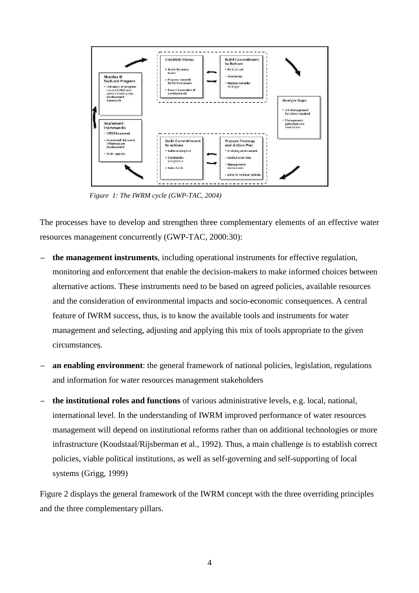

*Figure 1: The IWRM cycle (GWP-TAC, 2004)* 

The processes have to develop and strengthen three complementary elements of an effective water resources management concurrently (GWP-TAC, 2000:30):

- − **the management instruments**, including operational instruments for effective regulation, monitoring and enforcement that enable the decision-makers to make informed choices between alternative actions. These instruments need to be based on agreed policies, available resources and the consideration of environmental impacts and socio-economic consequences. A central feature of IWRM success, thus, is to know the available tools and instruments for water management and selecting, adjusting and applying this mix of tools appropriate to the given circumstances.
- an enabling environment: the general framework of national policies, legislation, regulations and information for water resources management stakeholders
- − **the institutional roles and functions** of various administrative levels, e.g. local, national, international level. In the understanding of IWRM improved performance of water resources management will depend on institutional reforms rather than on additional technologies or more infrastructure (Koudstaal/Rijsberman et al., 1992). Thus, a main challenge is to establish correct policies, viable political institutions, as well as self-governing and self-supporting of local systems (Grigg, 1999)

Figure 2 displays the general framework of the IWRM concept with the three overriding principles and the three complementary pillars.

4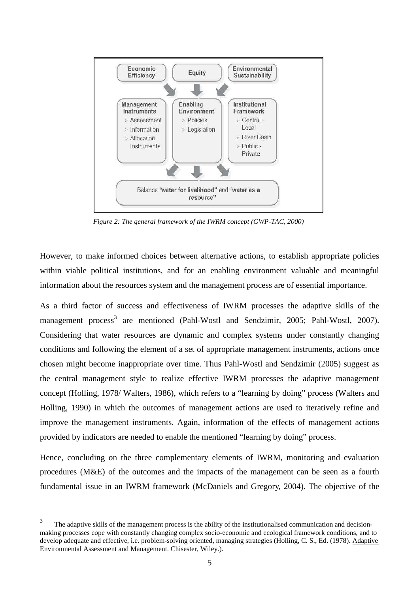

*Figure 2: The general framework of the IWRM concept (GWP-TAC, 2000)*

However, to make informed choices between alternative actions, to establish appropriate policies within viable political institutions, and for an enabling environment valuable and meaningful information about the resources system and the management process are of essential importance.

As a third factor of success and effectiveness of IWRM processes the adaptive skills of the management process<sup>3</sup> are mentioned (Pahl-Wostl and Sendzimir, 2005; Pahl-Wostl, 2007). Considering that water resources are dynamic and complex systems under constantly changing conditions and following the element of a set of appropriate management instruments, actions once chosen might become inappropriate over time. Thus Pahl-Wostl and Sendzimir (2005) suggest as the central management style to realize effective IWRM processes the adaptive management concept (Holling, 1978/ Walters, 1986), which refers to a "learning by doing" process (Walters and Holling, 1990) in which the outcomes of management actions are used to iteratively refine and improve the management instruments. Again, information of the effects of management actions provided by indicators are needed to enable the mentioned "learning by doing" process.

Hence, concluding on the three complementary elements of IWRM, monitoring and evaluation procedures (M&E) of the outcomes and the impacts of the management can be seen as a fourth fundamental issue in an IWRM framework (McDaniels and Gregory, 2004). The objective of the

 $\overline{a}$ 

<sup>3</sup> The adaptive skills of the management process is the ability of the institutionalised communication and decisionmaking processes cope with constantly changing complex socio-economic and ecological framework conditions, and to develop adequate and effective, i.e. problem-solving oriented, managing strategies (Holling, C. S., Ed. (1978). Adaptive Environmental Assessment and Management. Chisester, Wiley.).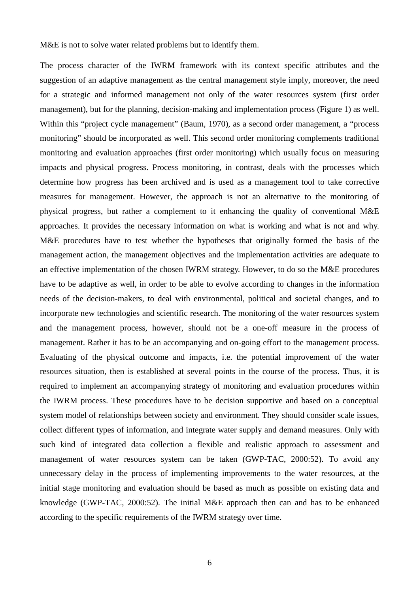M&E is not to solve water related problems but to identify them.

The process character of the IWRM framework with its context specific attributes and the suggestion of an adaptive management as the central management style imply, moreover, the need for a strategic and informed management not only of the water resources system (first order management), but for the planning, decision-making and implementation process (Figure 1) as well. Within this "project cycle management" (Baum, 1970), as a second order management, a "process monitoring" should be incorporated as well. This second order monitoring complements traditional monitoring and evaluation approaches (first order monitoring) which usually focus on measuring impacts and physical progress. Process monitoring, in contrast, deals with the processes which determine how progress has been archived and is used as a management tool to take corrective measures for management. However, the approach is not an alternative to the monitoring of physical progress, but rather a complement to it enhancing the quality of conventional M&E approaches. It provides the necessary information on what is working and what is not and why. M&E procedures have to test whether the hypotheses that originally formed the basis of the management action, the management objectives and the implementation activities are adequate to an effective implementation of the chosen IWRM strategy. However, to do so the M&E procedures have to be adaptive as well, in order to be able to evolve according to changes in the information needs of the decision-makers, to deal with environmental, political and societal changes, and to incorporate new technologies and scientific research. The monitoring of the water resources system and the management process, however, should not be a one-off measure in the process of management. Rather it has to be an accompanying and on-going effort to the management process. Evaluating of the physical outcome and impacts, i.e. the potential improvement of the water resources situation, then is established at several points in the course of the process. Thus, it is required to implement an accompanying strategy of monitoring and evaluation procedures within the IWRM process. These procedures have to be decision supportive and based on a conceptual system model of relationships between society and environment. They should consider scale issues, collect different types of information, and integrate water supply and demand measures. Only with such kind of integrated data collection a flexible and realistic approach to assessment and management of water resources system can be taken (GWP-TAC, 2000:52). To avoid any unnecessary delay in the process of implementing improvements to the water resources, at the initial stage monitoring and evaluation should be based as much as possible on existing data and knowledge (GWP-TAC, 2000:52). The initial M&E approach then can and has to be enhanced according to the specific requirements of the IWRM strategy over time.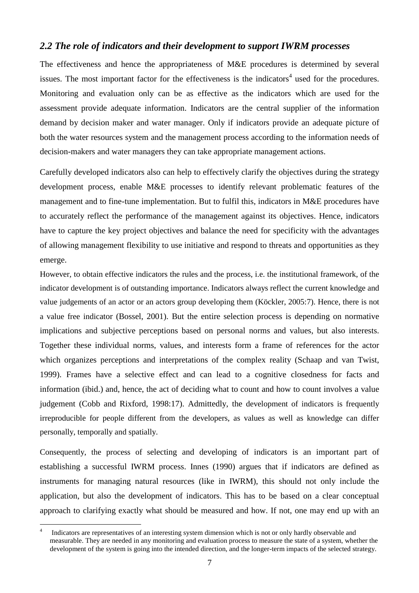### *2.2 The role of indicators and their development to support IWRM processes*

The effectiveness and hence the appropriateness of M&E procedures is determined by several issues. The most important factor for the effectiveness is the indicators<sup>4</sup> used for the procedures. Monitoring and evaluation only can be as effective as the indicators which are used for the assessment provide adequate information. Indicators are the central supplier of the information demand by decision maker and water manager. Only if indicators provide an adequate picture of both the water resources system and the management process according to the information needs of decision-makers and water managers they can take appropriate management actions.

Carefully developed indicators also can help to effectively clarify the objectives during the strategy development process, enable M&E processes to identify relevant problematic features of the management and to fine-tune implementation. But to fulfil this, indicators in M&E procedures have to accurately reflect the performance of the management against its objectives. Hence, indicators have to capture the key project objectives and balance the need for specificity with the advantages of allowing management flexibility to use initiative and respond to threats and opportunities as they emerge.

However, to obtain effective indicators the rules and the process, i.e. the institutional framework, of the indicator development is of outstanding importance. Indicators always reflect the current knowledge and value judgements of an actor or an actors group developing them (Köckler, 2005:7). Hence, there is not a value free indicator (Bossel, 2001). But the entire selection process is depending on normative implications and subjective perceptions based on personal norms and values, but also interests. Together these individual norms, values, and interests form a frame of references for the actor which organizes perceptions and interpretations of the complex reality (Schaap and van Twist, 1999). Frames have a selective effect and can lead to a cognitive closedness for facts and information (ibid.) and, hence, the act of deciding what to count and how to count involves a value judgement (Cobb and Rixford, 1998:17). Admittedly, the development of indicators is frequently irreproducible for people different from the developers, as values as well as knowledge can differ personally, temporally and spatially.

Consequently, the process of selecting and developing of indicators is an important part of establishing a successful IWRM process. Innes (1990) argues that if indicators are defined as instruments for managing natural resources (like in IWRM), this should not only include the application, but also the development of indicators. This has to be based on a clear conceptual approach to clarifying exactly what should be measured and how. If not, one may end up with an

 $\overline{a}$ 

<sup>4</sup> Indicators are representatives of an interesting system dimension which is not or only hardly observable and measurable. They are needed in any monitoring and evaluation process to measure the state of a system, whether the development of the system is going into the intended direction, and the longer-term impacts of the selected strategy.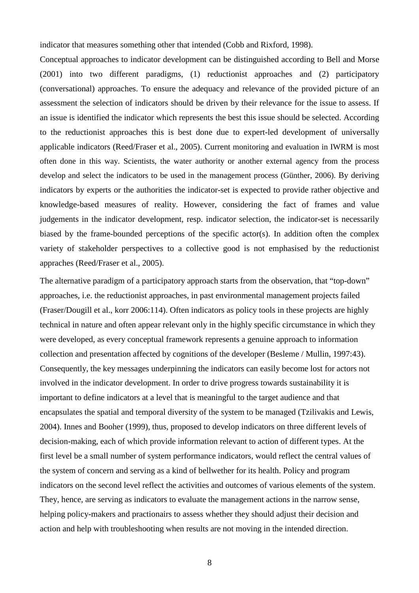indicator that measures something other that intended (Cobb and Rixford, 1998).

Conceptual approaches to indicator development can be distinguished according to Bell and Morse (2001) into two different paradigms, (1) reductionist approaches and (2) participatory (conversational) approaches. To ensure the adequacy and relevance of the provided picture of an assessment the selection of indicators should be driven by their relevance for the issue to assess. If an issue is identified the indicator which represents the best this issue should be selected. According to the reductionist approaches this is best done due to expert-led development of universally applicable indicators (Reed/Fraser et al., 2005). Current monitoring and evaluation in IWRM is most often done in this way. Scientists, the water authority or another external agency from the process develop and select the indicators to be used in the management process (Günther, 2006). By deriving indicators by experts or the authorities the indicator-set is expected to provide rather objective and knowledge-based measures of reality. However, considering the fact of frames and value judgements in the indicator development, resp. indicator selection, the indicator-set is necessarily biased by the frame-bounded perceptions of the specific actor(s). In addition often the complex variety of stakeholder perspectives to a collective good is not emphasised by the reductionist appraches (Reed/Fraser et al., 2005).

The alternative paradigm of a participatory approach starts from the observation, that "top-down" approaches, i.e. the reductionist approaches, in past environmental management projects failed (Fraser/Dougill et al., korr 2006:114). Often indicators as policy tools in these projects are highly technical in nature and often appear relevant only in the highly specific circumstance in which they were developed, as every conceptual framework represents a genuine approach to information collection and presentation affected by cognitions of the developer (Besleme / Mullin, 1997:43). Consequently, the key messages underpinning the indicators can easily become lost for actors not involved in the indicator development. In order to drive progress towards sustainability it is important to define indicators at a level that is meaningful to the target audience and that encapsulates the spatial and temporal diversity of the system to be managed (Tzilivakis and Lewis, 2004). Innes and Booher (1999), thus, proposed to develop indicators on three different levels of decision-making, each of which provide information relevant to action of different types. At the first level be a small number of system performance indicators, would reflect the central values of the system of concern and serving as a kind of bellwether for its health. Policy and program indicators on the second level reflect the activities and outcomes of various elements of the system. They, hence, are serving as indicators to evaluate the management actions in the narrow sense, helping policy-makers and practionairs to assess whether they should adjust their decision and action and help with troubleshooting when results are not moving in the intended direction.

8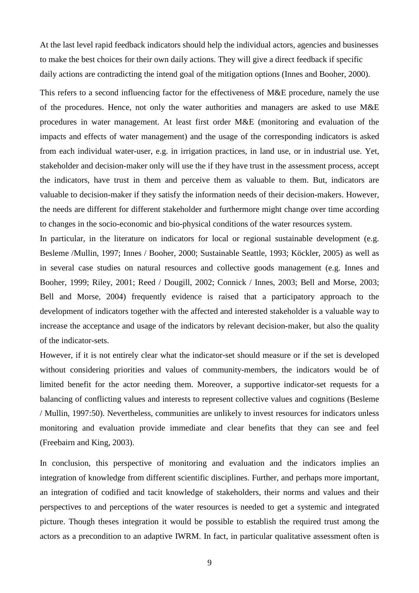At the last level rapid feedback indicators should help the individual actors, agencies and businesses to make the best choices for their own daily actions. They will give a direct feedback if specific daily actions are contradicting the intend goal of the mitigation options (Innes and Booher, 2000).

This refers to a second influencing factor for the effectiveness of M&E procedure, namely the use of the procedures. Hence, not only the water authorities and managers are asked to use M&E procedures in water management. At least first order M&E (monitoring and evaluation of the impacts and effects of water management) and the usage of the corresponding indicators is asked from each individual water-user, e.g. in irrigation practices, in land use, or in industrial use. Yet, stakeholder and decision-maker only will use the if they have trust in the assessment process, accept the indicators, have trust in them and perceive them as valuable to them. But, indicators are valuable to decision-maker if they satisfy the information needs of their decision-makers. However, the needs are different for different stakeholder and furthermore might change over time according to changes in the socio-economic and bio-physical conditions of the water resources system.

In particular, in the literature on indicators for local or regional sustainable development (e.g. Besleme /Mullin, 1997; Innes / Booher, 2000; Sustainable Seattle, 1993; Köckler, 2005) as well as in several case studies on natural resources and collective goods management (e.g. Innes and Booher, 1999; Riley, 2001; Reed / Dougill, 2002; Connick / Innes, 2003; Bell and Morse, 2003; Bell and Morse, 2004) frequently evidence is raised that a participatory approach to the development of indicators together with the affected and interested stakeholder is a valuable way to increase the acceptance and usage of the indicators by relevant decision-maker, but also the quality of the indicator-sets.

However, if it is not entirely clear what the indicator-set should measure or if the set is developed without considering priorities and values of community-members, the indicators would be of limited benefit for the actor needing them. Moreover, a supportive indicator-set requests for a balancing of conflicting values and interests to represent collective values and cognitions (Besleme / Mullin, 1997:50). Nevertheless, communities are unlikely to invest resources for indicators unless monitoring and evaluation provide immediate and clear benefits that they can see and feel (Freebairn and King, 2003).

In conclusion, this perspective of monitoring and evaluation and the indicators implies an integration of knowledge from different scientific disciplines. Further, and perhaps more important, an integration of codified and tacit knowledge of stakeholders, their norms and values and their perspectives to and perceptions of the water resources is needed to get a systemic and integrated picture. Though theses integration it would be possible to establish the required trust among the actors as a precondition to an adaptive IWRM. In fact, in particular qualitative assessment often is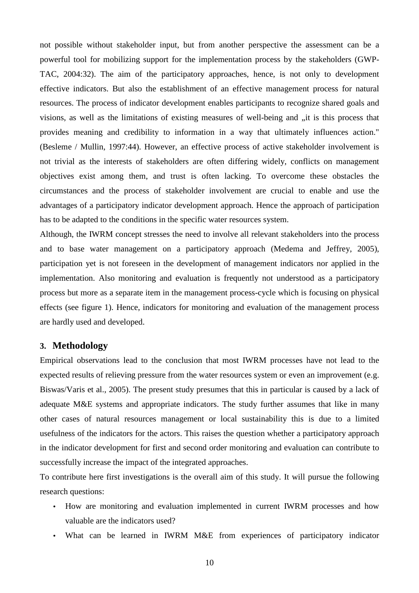not possible without stakeholder input, but from another perspective the assessment can be a powerful tool for mobilizing support for the implementation process by the stakeholders (GWP-TAC, 2004:32). The aim of the participatory approaches, hence, is not only to development effective indicators. But also the establishment of an effective management process for natural resources. The process of indicator development enables participants to recognize shared goals and visions, as well as the limitations of existing measures of well-being and "it is this process that provides meaning and credibility to information in a way that ultimately influences action." (Besleme / Mullin, 1997:44). However, an effective process of active stakeholder involvement is not trivial as the interests of stakeholders are often differing widely, conflicts on management objectives exist among them, and trust is often lacking. To overcome these obstacles the circumstances and the process of stakeholder involvement are crucial to enable and use the advantages of a participatory indicator development approach. Hence the approach of participation has to be adapted to the conditions in the specific water resources system.

Although, the IWRM concept stresses the need to involve all relevant stakeholders into the process and to base water management on a participatory approach (Medema and Jeffrey, 2005), participation yet is not foreseen in the development of management indicators nor applied in the implementation. Also monitoring and evaluation is frequently not understood as a participatory process but more as a separate item in the management process-cycle which is focusing on physical effects (see figure 1). Hence, indicators for monitoring and evaluation of the management process are hardly used and developed.

#### **3. Methodology**

Empirical observations lead to the conclusion that most IWRM processes have not lead to the expected results of relieving pressure from the water resources system or even an improvement (e.g. Biswas/Varis et al., 2005). The present study presumes that this in particular is caused by a lack of adequate M&E systems and appropriate indicators. The study further assumes that like in many other cases of natural resources management or local sustainability this is due to a limited usefulness of the indicators for the actors. This raises the question whether a participatory approach in the indicator development for first and second order monitoring and evaluation can contribute to successfully increase the impact of the integrated approaches.

To contribute here first investigations is the overall aim of this study. It will pursue the following research questions:

- How are monitoring and evaluation implemented in current IWRM processes and how valuable are the indicators used?
- What can be learned in IWRM M&E from experiences of participatory indicator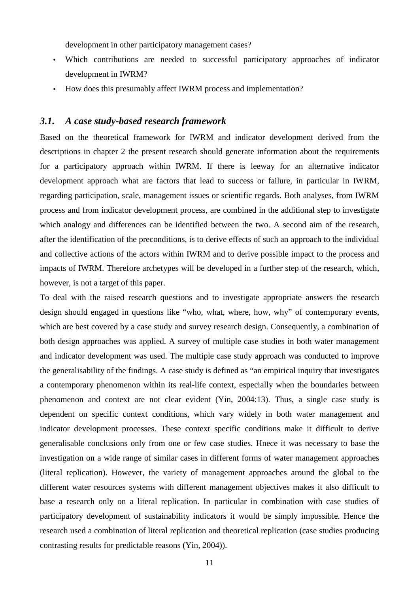development in other participatory management cases?

- Which contributions are needed to successful participatory approaches of indicator development in IWRM?
- How does this presumably affect IWRM process and implementation?

#### *3.1. A case study-based research framework*

Based on the theoretical framework for IWRM and indicator development derived from the descriptions in chapter 2 the present research should generate information about the requirements for a participatory approach within IWRM. If there is leeway for an alternative indicator development approach what are factors that lead to success or failure, in particular in IWRM, regarding participation, scale, management issues or scientific regards. Both analyses, from IWRM process and from indicator development process, are combined in the additional step to investigate which analogy and differences can be identified between the two. A second aim of the research, after the identification of the preconditions, is to derive effects of such an approach to the individual and collective actions of the actors within IWRM and to derive possible impact to the process and impacts of IWRM. Therefore archetypes will be developed in a further step of the research, which, however, is not a target of this paper.

To deal with the raised research questions and to investigate appropriate answers the research design should engaged in questions like "who, what, where, how, why" of contemporary events, which are best covered by a case study and survey research design. Consequently, a combination of both design approaches was applied. A survey of multiple case studies in both water management and indicator development was used. The multiple case study approach was conducted to improve the generalisability of the findings. A case study is defined as "an empirical inquiry that investigates a contemporary phenomenon within its real-life context, especially when the boundaries between phenomenon and context are not clear evident (Yin, 2004:13). Thus, a single case study is dependent on specific context conditions, which vary widely in both water management and indicator development processes. These context specific conditions make it difficult to derive generalisable conclusions only from one or few case studies. Hnece it was necessary to base the investigation on a wide range of similar cases in different forms of water management approaches (literal replication). However, the variety of management approaches around the global to the different water resources systems with different management objectives makes it also difficult to base a research only on a literal replication. In particular in combination with case studies of participatory development of sustainability indicators it would be simply impossible. Hence the research used a combination of literal replication and theoretical replication (case studies producing contrasting results for predictable reasons (Yin, 2004)).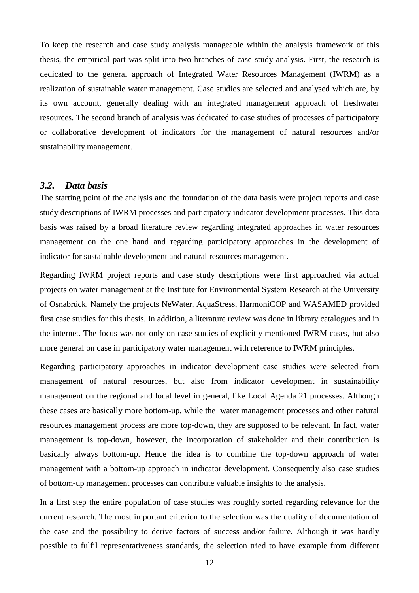To keep the research and case study analysis manageable within the analysis framework of this thesis, the empirical part was split into two branches of case study analysis. First, the research is dedicated to the general approach of Integrated Water Resources Management (IWRM) as a realization of sustainable water management. Case studies are selected and analysed which are, by its own account, generally dealing with an integrated management approach of freshwater resources. The second branch of analysis was dedicated to case studies of processes of participatory or collaborative development of indicators for the management of natural resources and/or sustainability management.

### *3.2. Data basis*

The starting point of the analysis and the foundation of the data basis were project reports and case study descriptions of IWRM processes and participatory indicator development processes. This data basis was raised by a broad literature review regarding integrated approaches in water resources management on the one hand and regarding participatory approaches in the development of indicator for sustainable development and natural resources management.

Regarding IWRM project reports and case study descriptions were first approached via actual projects on water management at the Institute for Environmental System Research at the University of Osnabrück. Namely the projects NeWater, AquaStress, HarmoniCOP and WASAMED provided first case studies for this thesis. In addition, a literature review was done in library catalogues and in the internet. The focus was not only on case studies of explicitly mentioned IWRM cases, but also more general on case in participatory water management with reference to IWRM principles.

Regarding participatory approaches in indicator development case studies were selected from management of natural resources, but also from indicator development in sustainability management on the regional and local level in general, like Local Agenda 21 processes. Although these cases are basically more bottom-up, while the water management processes and other natural resources management process are more top-down, they are supposed to be relevant. In fact, water management is top-down, however, the incorporation of stakeholder and their contribution is basically always bottom-up. Hence the idea is to combine the top-down approach of water management with a bottom-up approach in indicator development. Consequently also case studies of bottom-up management processes can contribute valuable insights to the analysis.

In a first step the entire population of case studies was roughly sorted regarding relevance for the current research. The most important criterion to the selection was the quality of documentation of the case and the possibility to derive factors of success and/or failure. Although it was hardly possible to fulfil representativeness standards, the selection tried to have example from different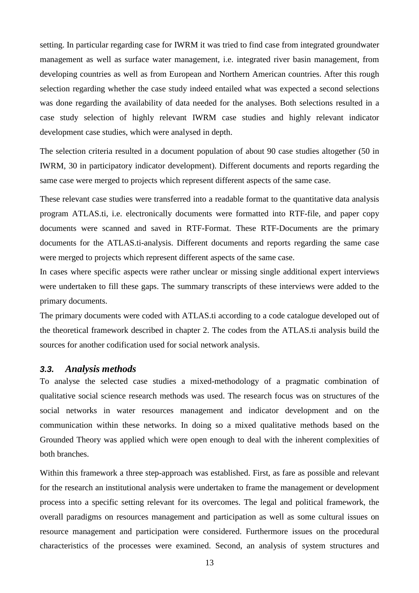setting. In particular regarding case for IWRM it was tried to find case from integrated groundwater management as well as surface water management, i.e. integrated river basin management, from developing countries as well as from European and Northern American countries. After this rough selection regarding whether the case study indeed entailed what was expected a second selections was done regarding the availability of data needed for the analyses. Both selections resulted in a case study selection of highly relevant IWRM case studies and highly relevant indicator development case studies, which were analysed in depth.

The selection criteria resulted in a document population of about 90 case studies altogether (50 in IWRM, 30 in participatory indicator development). Different documents and reports regarding the same case were merged to projects which represent different aspects of the same case.

These relevant case studies were transferred into a readable format to the quantitative data analysis program ATLAS.ti, i.e. electronically documents were formatted into RTF-file, and paper copy documents were scanned and saved in RTF-Format. These RTF-Documents are the primary documents for the ATLAS.ti-analysis. Different documents and reports regarding the same case were merged to projects which represent different aspects of the same case.

In cases where specific aspects were rather unclear or missing single additional expert interviews were undertaken to fill these gaps. The summary transcripts of these interviews were added to the primary documents.

The primary documents were coded with ATLAS.ti according to a code catalogue developed out of the theoretical framework described in chapter 2. The codes from the ATLAS.ti analysis build the sources for another codification used for social network analysis.

#### **3.3.** *Analysis methods*

To analyse the selected case studies a mixed-methodology of a pragmatic combination of qualitative social science research methods was used. The research focus was on structures of the social networks in water resources management and indicator development and on the communication within these networks. In doing so a mixed qualitative methods based on the Grounded Theory was applied which were open enough to deal with the inherent complexities of both branches.

Within this framework a three step-approach was established. First, as fare as possible and relevant for the research an institutional analysis were undertaken to frame the management or development process into a specific setting relevant for its overcomes. The legal and political framework, the overall paradigms on resources management and participation as well as some cultural issues on resource management and participation were considered. Furthermore issues on the procedural characteristics of the processes were examined. Second, an analysis of system structures and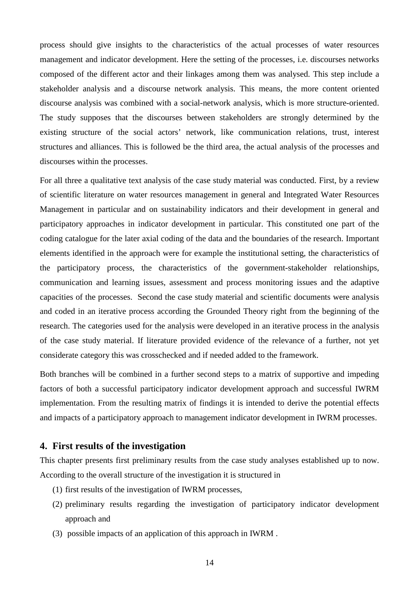process should give insights to the characteristics of the actual processes of water resources management and indicator development. Here the setting of the processes, i.e. discourses networks composed of the different actor and their linkages among them was analysed. This step include a stakeholder analysis and a discourse network analysis. This means, the more content oriented discourse analysis was combined with a social-network analysis, which is more structure-oriented. The study supposes that the discourses between stakeholders are strongly determined by the existing structure of the social actors' network, like communication relations, trust, interest structures and alliances. This is followed be the third area, the actual analysis of the processes and discourses within the processes.

For all three a qualitative text analysis of the case study material was conducted. First, by a review of scientific literature on water resources management in general and Integrated Water Resources Management in particular and on sustainability indicators and their development in general and participatory approaches in indicator development in particular. This constituted one part of the coding catalogue for the later axial coding of the data and the boundaries of the research. Important elements identified in the approach were for example the institutional setting, the characteristics of the participatory process, the characteristics of the government-stakeholder relationships, communication and learning issues, assessment and process monitoring issues and the adaptive capacities of the processes. Second the case study material and scientific documents were analysis and coded in an iterative process according the Grounded Theory right from the beginning of the research. The categories used for the analysis were developed in an iterative process in the analysis of the case study material. If literature provided evidence of the relevance of a further, not yet considerate category this was crosschecked and if needed added to the framework.

Both branches will be combined in a further second steps to a matrix of supportive and impeding factors of both a successful participatory indicator development approach and successful IWRM implementation. From the resulting matrix of findings it is intended to derive the potential effects and impacts of a participatory approach to management indicator development in IWRM processes.

### **4. First results of the investigation**

This chapter presents first preliminary results from the case study analyses established up to now. According to the overall structure of the investigation it is structured in

- (1) first results of the investigation of IWRM processes,
- (2) preliminary results regarding the investigation of participatory indicator development approach and
- (3) possible impacts of an application of this approach in IWRM .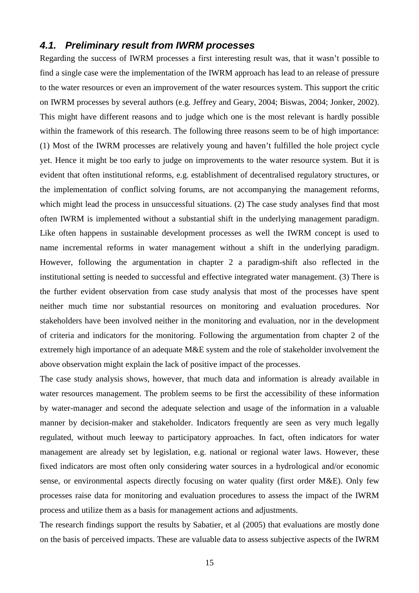### **4.1. Preliminary result from IWRM processes**

Regarding the success of IWRM processes a first interesting result was, that it wasn't possible to find a single case were the implementation of the IWRM approach has lead to an release of pressure to the water resources or even an improvement of the water resources system. This support the critic on IWRM processes by several authors (e.g. Jeffrey and Geary, 2004; Biswas, 2004; Jonker, 2002). This might have different reasons and to judge which one is the most relevant is hardly possible within the framework of this research. The following three reasons seem to be of high importance: (1) Most of the IWRM processes are relatively young and haven't fulfilled the hole project cycle yet. Hence it might be too early to judge on improvements to the water resource system. But it is evident that often institutional reforms, e.g. establishment of decentralised regulatory structures, or the implementation of conflict solving forums, are not accompanying the management reforms, which might lead the process in unsuccessful situations. (2) The case study analyses find that most often IWRM is implemented without a substantial shift in the underlying management paradigm. Like often happens in sustainable development processes as well the IWRM concept is used to name incremental reforms in water management without a shift in the underlying paradigm. However, following the argumentation in chapter 2 a paradigm-shift also reflected in the institutional setting is needed to successful and effective integrated water management. (3) There is the further evident observation from case study analysis that most of the processes have spent neither much time nor substantial resources on monitoring and evaluation procedures. Nor stakeholders have been involved neither in the monitoring and evaluation, nor in the development of criteria and indicators for the monitoring. Following the argumentation from chapter 2 of the extremely high importance of an adequate M&E system and the role of stakeholder involvement the above observation might explain the lack of positive impact of the processes.

The case study analysis shows, however, that much data and information is already available in water resources management. The problem seems to be first the accessibility of these information by water-manager and second the adequate selection and usage of the information in a valuable manner by decision-maker and stakeholder. Indicators frequently are seen as very much legally regulated, without much leeway to participatory approaches. In fact, often indicators for water management are already set by legislation, e.g. national or regional water laws. However, these fixed indicators are most often only considering water sources in a hydrological and/or economic sense, or environmental aspects directly focusing on water quality (first order M&E). Only few processes raise data for monitoring and evaluation procedures to assess the impact of the IWRM process and utilize them as a basis for management actions and adjustments.

The research findings support the results by Sabatier, et al (2005) that evaluations are mostly done on the basis of perceived impacts. These are valuable data to assess subjective aspects of the IWRM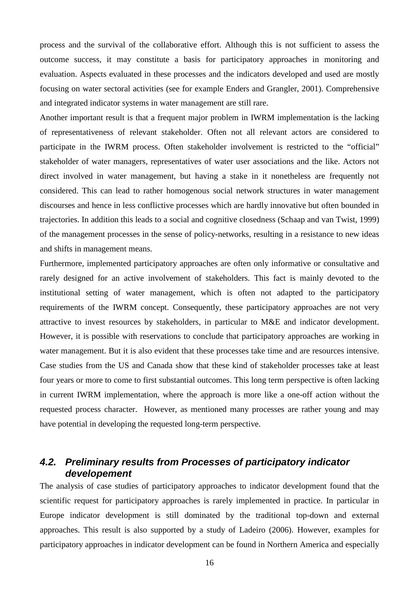process and the survival of the collaborative effort. Although this is not sufficient to assess the outcome success, it may constitute a basis for participatory approaches in monitoring and evaluation. Aspects evaluated in these processes and the indicators developed and used are mostly focusing on water sectoral activities (see for example Enders and Grangler, 2001). Comprehensive and integrated indicator systems in water management are still rare.

Another important result is that a frequent major problem in IWRM implementation is the lacking of representativeness of relevant stakeholder. Often not all relevant actors are considered to participate in the IWRM process. Often stakeholder involvement is restricted to the "official" stakeholder of water managers, representatives of water user associations and the like. Actors not direct involved in water management, but having a stake in it nonetheless are frequently not considered. This can lead to rather homogenous social network structures in water management discourses and hence in less conflictive processes which are hardly innovative but often bounded in trajectories. In addition this leads to a social and cognitive closedness (Schaap and van Twist, 1999) of the management processes in the sense of policy-networks, resulting in a resistance to new ideas and shifts in management means.

Furthermore, implemented participatory approaches are often only informative or consultative and rarely designed for an active involvement of stakeholders. This fact is mainly devoted to the institutional setting of water management, which is often not adapted to the participatory requirements of the IWRM concept. Consequently, these participatory approaches are not very attractive to invest resources by stakeholders, in particular to M&E and indicator development. However, it is possible with reservations to conclude that participatory approaches are working in water management. But it is also evident that these processes take time and are resources intensive. Case studies from the US and Canada show that these kind of stakeholder processes take at least four years or more to come to first substantial outcomes. This long term perspective is often lacking in current IWRM implementation, where the approach is more like a one-off action without the requested process character. However, as mentioned many processes are rather young and may have potential in developing the requested long-term perspective.

## **4.2. Preliminary results from Processes of participatory indicator developement**

The analysis of case studies of participatory approaches to indicator development found that the scientific request for participatory approaches is rarely implemented in practice. In particular in Europe indicator development is still dominated by the traditional top-down and external approaches. This result is also supported by a study of Ladeiro (2006). However, examples for participatory approaches in indicator development can be found in Northern America and especially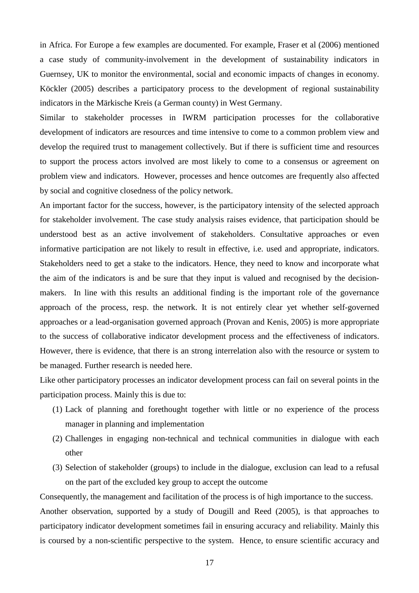in Africa. For Europe a few examples are documented. For example, Fraser et al (2006) mentioned a case study of community-involvement in the development of sustainability indicators in Guernsey, UK to monitor the environmental, social and economic impacts of changes in economy. Köckler (2005) describes a participatory process to the development of regional sustainability indicators in the Märkische Kreis (a German county) in West Germany.

Similar to stakeholder processes in IWRM participation processes for the collaborative development of indicators are resources and time intensive to come to a common problem view and develop the required trust to management collectively. But if there is sufficient time and resources to support the process actors involved are most likely to come to a consensus or agreement on problem view and indicators. However, processes and hence outcomes are frequently also affected by social and cognitive closedness of the policy network.

An important factor for the success, however, is the participatory intensity of the selected approach for stakeholder involvement. The case study analysis raises evidence, that participation should be understood best as an active involvement of stakeholders. Consultative approaches or even informative participation are not likely to result in effective, i.e. used and appropriate, indicators. Stakeholders need to get a stake to the indicators. Hence, they need to know and incorporate what the aim of the indicators is and be sure that they input is valued and recognised by the decisionmakers. In line with this results an additional finding is the important role of the governance approach of the process, resp. the network. It is not entirely clear yet whether self-governed approaches or a lead-organisation governed approach (Provan and Kenis, 2005) is more appropriate to the success of collaborative indicator development process and the effectiveness of indicators. However, there is evidence, that there is an strong interrelation also with the resource or system to be managed. Further research is needed here.

Like other participatory processes an indicator development process can fail on several points in the participation process. Mainly this is due to:

- (1) Lack of planning and forethought together with little or no experience of the process manager in planning and implementation
- (2) Challenges in engaging non-technical and technical communities in dialogue with each other
- (3) Selection of stakeholder (groups) to include in the dialogue, exclusion can lead to a refusal on the part of the excluded key group to accept the outcome

Consequently, the management and facilitation of the process is of high importance to the success. Another observation, supported by a study of Dougill and Reed (2005), is that approaches to participatory indicator development sometimes fail in ensuring accuracy and reliability. Mainly this is coursed by a non-scientific perspective to the system. Hence, to ensure scientific accuracy and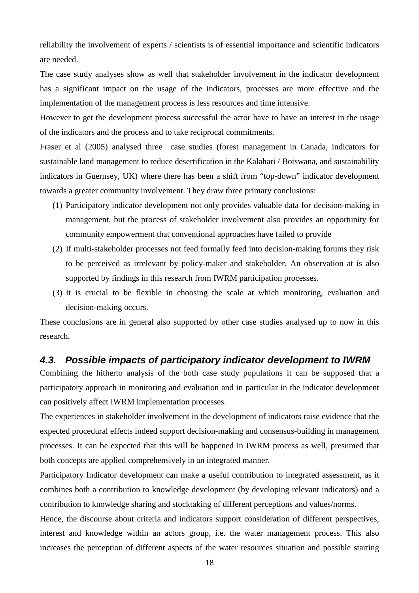reliability the involvement of experts / scientists is of essential importance and scientific indicators are needed.

The case study analyses show as well that stakeholder involvement in the indicator development has a significant impact on the usage of the indicators, processes are more effective and the implementation of the management process is less resources and time intensive.

However to get the development process successful the actor have to have an interest in the usage of the indicators and the process and to take reciprocal commitments.

Fraser et al (2005) analysed three case studies (forest management in Canada, indicators for sustainable land management to reduce desertification in the Kalahari / Botswana, and sustainability indicators in Guernsey, UK) where there has been a shift from "top-down" indicator development towards a greater community involvement. They draw three primary conclusions:

- (1) Participatory indicator development not only provides valuable data for decision-making in management, but the process of stakeholder involvement also provides an opportunity for community empowerment that conventional approaches have failed to provide
- (2) If multi-stakeholder processes not feed formally feed into decision-making forums they risk to be perceived as irrelevant by policy-maker and stakeholder. An observation at is also supported by findings in this research from IWRM participation processes.
- (3) It is crucial to be flexible in choosing the scale at which monitoring, evaluation and decision-making occurs.

These conclusions are in general also supported by other case studies analysed up to now in this research.

### **4.3. Possible impacts of participatory indicator development to IWRM**

Combining the hitherto analysis of the both case study populations it can be supposed that a participatory approach in monitoring and evaluation and in particular in the indicator development can positively affect IWRM implementation processes.

The experiences in stakeholder involvement in the development of indicators raise evidence that the expected procedural effects indeed support decision-making and consensus-building in management processes. It can be expected that this will be happened in IWRM process as well, presumed that both concepts are applied comprehensively in an integrated manner.

Participatory Indicator development can make a useful contribution to integrated assessment, as it combines both a contribution to knowledge development (by developing relevant indicators) and a contribution to knowledge sharing and stocktaking of different perceptions and values/norms.

Hence, the discourse about criteria and indicators support consideration of different perspectives, interest and knowledge within an actors group, i.e. the water management process. This also increases the perception of different aspects of the water resources situation and possible starting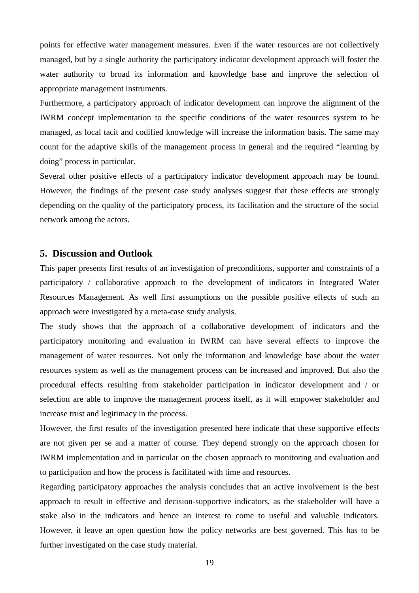points for effective water management measures. Even if the water resources are not collectively managed, but by a single authority the participatory indicator development approach will foster the water authority to broad its information and knowledge base and improve the selection of appropriate management instruments.

Furthermore, a participatory approach of indicator development can improve the alignment of the IWRM concept implementation to the specific conditions of the water resources system to be managed, as local tacit and codified knowledge will increase the information basis. The same may count for the adaptive skills of the management process in general and the required "learning by doing" process in particular.

Several other positive effects of a participatory indicator development approach may be found. However, the findings of the present case study analyses suggest that these effects are strongly depending on the quality of the participatory process, its facilitation and the structure of the social network among the actors.

#### **5. Discussion and Outlook**

This paper presents first results of an investigation of preconditions, supporter and constraints of a participatory / collaborative approach to the development of indicators in Integrated Water Resources Management. As well first assumptions on the possible positive effects of such an approach were investigated by a meta-case study analysis.

The study shows that the approach of a collaborative development of indicators and the participatory monitoring and evaluation in IWRM can have several effects to improve the management of water resources. Not only the information and knowledge base about the water resources system as well as the management process can be increased and improved. But also the procedural effects resulting from stakeholder participation in indicator development and / or selection are able to improve the management process itself, as it will empower stakeholder and increase trust and legitimacy in the process.

However, the first results of the investigation presented here indicate that these supportive effects are not given per se and a matter of course. They depend strongly on the approach chosen for IWRM implementation and in particular on the chosen approach to monitoring and evaluation and to participation and how the process is facilitated with time and resources.

Regarding participatory approaches the analysis concludes that an active involvement is the best approach to result in effective and decision-supportive indicators, as the stakeholder will have a stake also in the indicators and hence an interest to come to useful and valuable indicators. However, it leave an open question how the policy networks are best governed. This has to be further investigated on the case study material.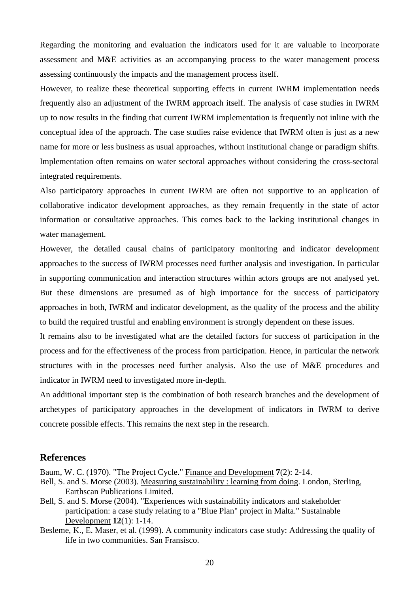Regarding the monitoring and evaluation the indicators used for it are valuable to incorporate assessment and M&E activities as an accompanying process to the water management process assessing continuously the impacts and the management process itself.

However, to realize these theoretical supporting effects in current IWRM implementation needs frequently also an adjustment of the IWRM approach itself. The analysis of case studies in IWRM up to now results in the finding that current IWRM implementation is frequently not inline with the conceptual idea of the approach. The case studies raise evidence that IWRM often is just as a new name for more or less business as usual approaches, without institutional change or paradigm shifts. Implementation often remains on water sectoral approaches without considering the cross-sectoral integrated requirements.

Also participatory approaches in current IWRM are often not supportive to an application of collaborative indicator development approaches, as they remain frequently in the state of actor information or consultative approaches. This comes back to the lacking institutional changes in water management.

However, the detailed causal chains of participatory monitoring and indicator development approaches to the success of IWRM processes need further analysis and investigation. In particular in supporting communication and interaction structures within actors groups are not analysed yet. But these dimensions are presumed as of high importance for the success of participatory approaches in both, IWRM and indicator development, as the quality of the process and the ability to build the required trustful and enabling environment is strongly dependent on these issues.

It remains also to be investigated what are the detailed factors for success of participation in the process and for the effectiveness of the process from participation. Hence, in particular the network structures with in the processes need further analysis. Also the use of M&E procedures and indicator in IWRM need to investigated more in-depth.

An additional important step is the combination of both research branches and the development of archetypes of participatory approaches in the development of indicators in IWRM to derive concrete possible effects. This remains the next step in the research.

#### **References**

Baum, W. C. (1970). "The Project Cycle." Finance and Development **7**(2): 2-14.

- Bell, S. and S. Morse (2003). Measuring sustainability : learning from doing. London, Sterling, Earthscan Publications Limited.
- Bell, S. and S. Morse (2004). "Experiences with sustainability indicators and stakeholder participation: a case study relating to a "Blue Plan" project in Malta." Sustainable Development **12**(1): 1-14.
- Besleme, K., E. Maser, et al. (1999). A community indicators case study: Addressing the quality of life in two communities. San Fransisco.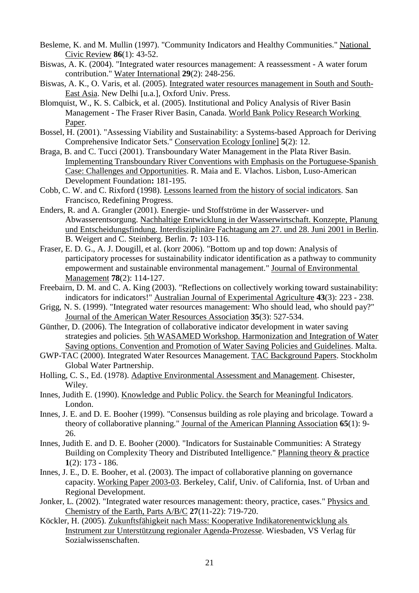- Besleme, K. and M. Mullin (1997). "Community Indicators and Healthy Communities." National Civic Review **86**(1): 43-52.
- Biswas, A. K. (2004). "Integrated water resources management: A reassessment A water forum contribution." Water International **29**(2): 248-256.
- Biswas, A. K., O. Varis, et al. (2005). Integrated water resources management in South and South-East Asia. New Delhi [u.a.], Oxford Univ. Press.
- Blomquist, W., K. S. Calbick, et al. (2005). Institutional and Policy Analysis of River Basin Management - The Fraser River Basin, Canada. World Bank Policy Research Working Paper.
- Bossel, H. (2001). "Assessing Viability and Sustainability: a Systems-based Approach for Deriving Comprehensive Indicator Sets." Conservation Ecology [online] **5**(2): 12.
- Braga, B. and C. Tucci (2001). Transboundary Water Management in the Plata River Basin. Implementing Transboundary River Conventions with Emphasis on the Portuguese-Spanish Case: Challenges and Opportunities. R. Maia and E. Vlachos. Lisbon, Luso-American Development Foundation**:** 181-195.
- Cobb, C. W. and C. Rixford (1998). Lessons learned from the history of social indicators. San Francisco, Redefining Progress.
- Enders, R. and A. Grangler (2001). Energie- und Stoffströme in der Wasserver- und Abwasserentsorgung. Nachhaltige Entwicklung in der Wasserwirtschaft. Konzepte, Planung und Entscheidungsfindung. Interdisziplinäre Fachtagung am 27. und 28. Juni 2001 in Berlin. B. Weigert and C. Steinberg. Berlin. **7:** 103-116.
- Fraser, E. D. G., A. J. Dougill, et al. (korr 2006). "Bottom up and top down: Analysis of participatory processes for sustainability indicator identification as a pathway to community empowerment and sustainable environmental management." Journal of Environmental Management **78**(2): 114-127.
- Freebairn, D. M. and C. A. King (2003). "Reflections on collectively working toward sustainability: indicators for indicators!" Australian Journal of Experimental Agriculture **43**(3): 223 - 238.
- Grigg, N. S. (1999). "Integrated water resources management: Who should lead, who should pay?" Journal of the American Water Resources Association **35**(3): 527-534.
- Günther, D. (2006). The Integration of collaborative indicator development in water saving strategies and policies. 5th WASAMED Workshop. Harmonization and Integration of Water Saving options. Convention and Promotion of Water Saving Policies and Guidelines. Malta.
- GWP-TAC (2000). Integrated Water Resources Management. TAC Background Papers. Stockholm Global Water Partnership.
- Holling, C. S., Ed. (1978). Adaptive Environmental Assessment and Management. Chisester, Wiley.
- Innes, Judith E. (1990). Knowledge and Public Policy. the Search for Meaningful Indicators. London.
- Innes, J. E. and D. E. Booher (1999). "Consensus building as role playing and bricolage. Toward a theory of collaborative planning." Journal of the American Planning Association **65**(1): 9- 26.
- Innes, Judith E. and D. E. Booher (2000). "Indicators for Sustainable Communities: A Strategy Building on Complexity Theory and Distributed Intelligence." Planning theory & practice **1**(2): 173 - 186.
- Innes, J. E., D. E. Booher, et al. (2003). The impact of collaborative planning on governance capacity. Working Paper 2003-03. Berkeley, Calif, Univ. of California, Inst. of Urban and Regional Development.
- Jonker, L. (2002). "Integrated water resources management: theory, practice, cases." Physics and Chemistry of the Earth, Parts A/B/C **27**(11-22): 719-720.
- Köckler, H. (2005). Zukunftsfähigkeit nach Mass: Kooperative Indikatorenentwicklung als Instrument zur Unterstützung regionaler Agenda-Prozesse. Wiesbaden, VS Verlag für Sozialwissenschaften.